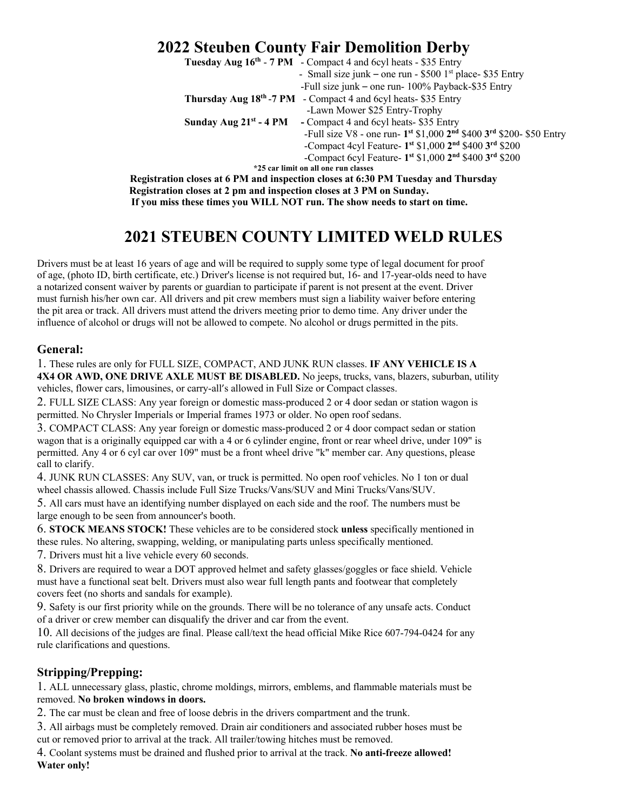# **2022 Steuben County Fair Demolition Derby**

|                                                                                   | Tuesday Aug 16 <sup>th</sup> - 7 PM - Compact 4 and 6cyl heats - \$35 Entry |
|-----------------------------------------------------------------------------------|-----------------------------------------------------------------------------|
|                                                                                   | - Small size junk – one run - $$500$ 1 <sup>st</sup> place- \$35 Entry      |
|                                                                                   | -Full size junk – one run- 100% Payback-\$35 Entry                          |
|                                                                                   | <b>Thursday Aug 18th -7 PM</b> - Compact 4 and 6cyl heats- \$35 Entry       |
|                                                                                   | -Lawn Mower \$25 Entry-Trophy                                               |
| Sunday Aug $21st$ - 4 PM                                                          | - Compact 4 and 6cyl heats - \$35 Entry                                     |
|                                                                                   | -Full size V8 - one run- 1st \$1,000 2nd \$400 3rd \$200- \$50 Entry        |
|                                                                                   | -Compact 4cyl Feature- $1^{st}$ \$1,000 $2^{nd}$ \$400 $3^{rd}$ \$200       |
|                                                                                   | -Compact 6cyl Feature- $1^{st}$ \$1,000 $2^{nd}$ \$400 $3^{rd}$ \$200       |
| *25 car limit on all one run classes                                              |                                                                             |
| Registration closes at 6 PM and inspection closes at 6:30 PM Tuesday and Thursday |                                                                             |
| Registration closes at 2 pm and inspection closes at 3 PM on Sunday.              |                                                                             |

 **If you miss these times you WILL NOT run. The show needs to start on time.** 

# **2021 STEUBEN COUNTY LIMITED WELD RULES**

Drivers must be at least 16 years of age and will be required to supply some type of legal document for proof of age, (photo ID, birth certificate, etc.) Driver's license is not required but, 16- and 17-year-olds need to have a notarized consent waiver by parents or guardian to participate if parent is not present at the event. Driver must furnish his/her own car. All drivers and pit crew members must sign a liability waiver before entering the pit area or track. All drivers must attend the drivers meeting prior to demo time. Any driver under the influence of alcohol or drugs will not be allowed to compete. No alcohol or drugs permitted in the pits.

## **General:**

1. These rules are only for FULL SIZE, COMPACT, AND JUNK RUN classes. **IF ANY VEHICLE IS A 4X4 OR AWD, ONE DRIVE AXLE MUST BE DISABLED.** No jeeps, trucks, vans, blazers, suburban, utility vehicles, flower cars, limousines, or carry-all's allowed in Full Size or Compact classes.

2. FULL SIZE CLASS: Any year foreign or domestic mass-produced 2 or 4 door sedan or station wagon is permitted. No Chrysler Imperials or Imperial frames 1973 or older. No open roof sedans.

3. COMPACT CLASS: Any year foreign or domestic mass-produced 2 or 4 door compact sedan or station wagon that is a originally equipped car with a 4 or 6 cylinder engine, front or rear wheel drive, under 109" is permitted. Any 4 or 6 cyl car over 109" must be a front wheel drive "k" member car. Any questions, please call to clarify.

4. JUNK RUN CLASSES: Any SUV, van, or truck is permitted. No open roof vehicles. No 1 ton or dual wheel chassis allowed. Chassis include Full Size Trucks/Vans/SUV and Mini Trucks/Vans/SUV.

5. All cars must have an identifying number displayed on each side and the roof. The numbers must be large enough to be seen from announcer's booth.

6. **STOCK MEANS STOCK!** These vehicles are to be considered stock **unless** specifically mentioned in these rules. No altering, swapping, welding, or manipulating parts unless specifically mentioned.

7. Drivers must hit a live vehicle every 60 seconds.

8. Drivers are required to wear a DOT approved helmet and safety glasses/goggles or face shield. Vehicle must have a functional seat belt. Drivers must also wear full length pants and footwear that completely covers feet (no shorts and sandals for example).

9. Safety is our first priority while on the grounds. There will be no tolerance of any unsafe acts. Conduct of a driver or crew member can disqualify the driver and car from the event.

10. All decisions of the judges are final. Please call/text the head official Mike Rice 607-794-0424 for any rule clarifications and questions.

## **Stripping/Prepping:**

1. ALL unnecessary glass, plastic, chrome moldings, mirrors, emblems, and flammable materials must be removed. **No broken windows in doors.**

2. The car must be clean and free of loose debris in the drivers compartment and the trunk.

3. All airbags must be completely removed. Drain air conditioners and associated rubber hoses must be cut or removed prior to arrival at the track. All trailer/towing hitches must be removed.

4. Coolant systems must be drained and flushed prior to arrival at the track. **No anti-freeze allowed! Water only!**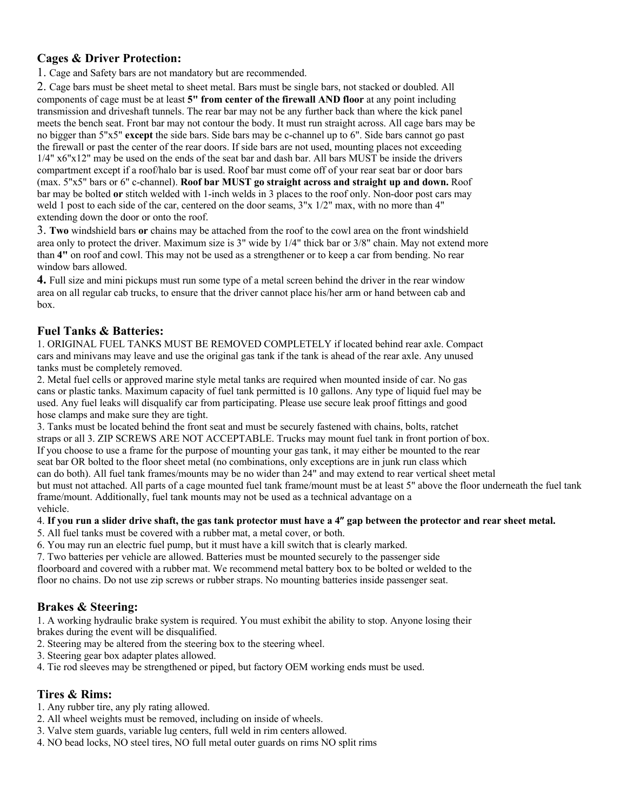## **Cages & Driver Protection:**

1. Cage and Safety bars are not mandatory but are recommended.

2. Cage bars must be sheet metal to sheet metal. Bars must be single bars, not stacked or doubled. All components of cage must be at least **5" from center of the firewall AND floor** at any point including transmission and driveshaft tunnels. The rear bar may not be any further back than where the kick panel meets the bench seat. Front bar may not contour the body. It must run straight across. All cage bars may be no bigger than 5"x5" **except** the side bars. Side bars may be c-channel up to 6". Side bars cannot go past the firewall or past the center of the rear doors. If side bars are not used, mounting places not exceeding 1/4" x6"x12" may be used on the ends of the seat bar and dash bar. All bars MUST be inside the drivers compartment except if a roof/halo bar is used. Roof bar must come off of your rear seat bar or door bars (max. 5"x5" bars or 6" c-channel). **Roof bar MUST go straight across and straight up and down.** Roof bar may be bolted **or** stitch welded with 1-inch welds in 3 places to the roof only. Non-door post cars may weld 1 post to each side of the car, centered on the door seams, 3"x 1/2" max, with no more than 4" extending down the door or onto the roof.

3. **Two** windshield bars **or** chains may be attached from the roof to the cowl area on the front windshield area only to protect the driver. Maximum size is 3" wide by 1/4" thick bar or 3/8" chain. May not extend more than **4"** on roof and cowl. This may not be used as a strengthener or to keep a car from bending. No rear window bars allowed.

**4.** Full size and mini pickups must run some type of a metal screen behind the driver in the rear window area on all regular cab trucks, to ensure that the driver cannot place his/her arm or hand between cab and box.

### **Fuel Tanks & Batteries:**

1. ORIGINAL FUEL TANKS MUST BE REMOVED COMPLETELY if located behind rear axle. Compact cars and minivans may leave and use the original gas tank if the tank is ahead of the rear axle. Any unused tanks must be completely removed.

2. Metal fuel cells or approved marine style metal tanks are required when mounted inside of car. No gas cans or plastic tanks. Maximum capacity of fuel tank permitted is 10 gallons. Any type of liquid fuel may be used. Any fuel leaks will disqualify car from participating. Please use secure leak proof fittings and good hose clamps and make sure they are tight.

3. Tanks must be located behind the front seat and must be securely fastened with chains, bolts, ratchet straps or all 3. ZIP SCREWS ARE NOT ACCEPTABLE. Trucks may mount fuel tank in front portion of box. If you choose to use a frame for the purpose of mounting your gas tank, it may either be mounted to the rear seat bar OR bolted to the floor sheet metal (no combinations, only exceptions are in junk run class which can do both). All fuel tank frames/mounts may be no wider than 24" and may extend to rear vertical sheet metal but must not attached. All parts of a cage mounted fuel tank frame/mount must be at least 5" above the floor underneath the fuel tank frame/mount. Additionally, fuel tank mounts may not be used as a technical advantage on a vehicle.

#### 4. **If you run a slider drive shaft, the gas tank protector must have a 4" gap between the protector and rear sheet metal.**

5. All fuel tanks must be covered with a rubber mat, a metal cover, or both.

6. You may run an electric fuel pump, but it must have a kill switch that is clearly marked.

- 7. Two batteries per vehicle are allowed. Batteries must be mounted securely to the passenger side
- floorboard and covered with a rubber mat. We recommend metal battery box to be bolted or welded to the

floor no chains. Do not use zip screws or rubber straps. No mounting batteries inside passenger seat.

#### **Brakes & Steering:**

1. A working hydraulic brake system is required. You must exhibit the ability to stop. Anyone losing their brakes during the event will be disqualified.

- 2. Steering may be altered from the steering box to the steering wheel.
- 3. Steering gear box adapter plates allowed.
- 4. Tie rod sleeves may be strengthened or piped, but factory OEM working ends must be used.

#### **Tires & Rims:**

- 1. Any rubber tire, any ply rating allowed.
- 2. All wheel weights must be removed, including on inside of wheels.
- 3. Valve stem guards, variable lug centers, full weld in rim centers allowed.
- 4. NO bead locks, NO steel tires, NO full metal outer guards on rims NO split rims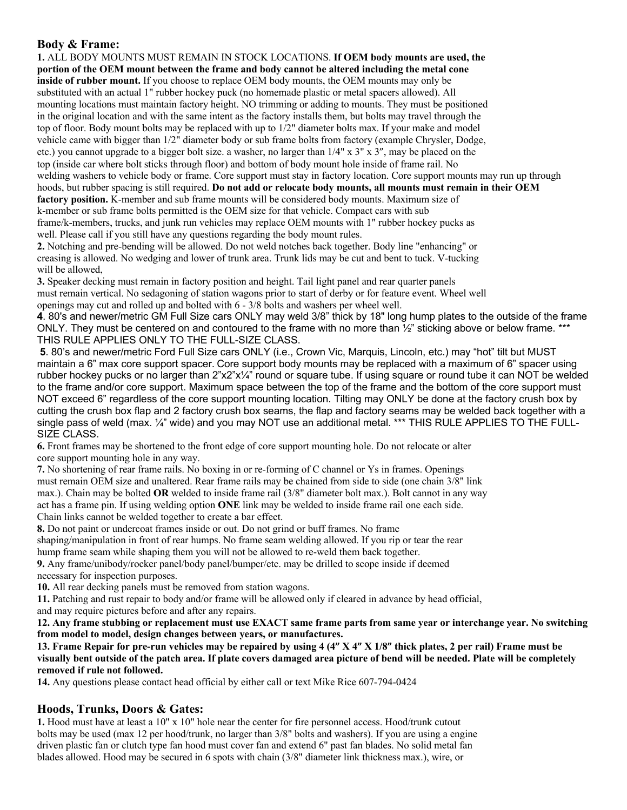## **Body & Frame:**

**1.** ALL BODY MOUNTS MUST REMAIN IN STOCK LOCATIONS. **If OEM body mounts are used, the portion of the OEM mount between the frame and body cannot be altered including the metal cone inside of rubber mount.** If you choose to replace OEM body mounts, the OEM mounts may only be substituted with an actual 1" rubber hockey puck (no homemade plastic or metal spacers allowed). All mounting locations must maintain factory height. NO trimming or adding to mounts. They must be positioned in the original location and with the same intent as the factory installs them, but bolts may travel through the top of floor. Body mount bolts may be replaced with up to 1/2" diameter bolts max. If your make and model vehicle came with bigger than 1/2" diameter body or sub frame bolts from factory (example Chrysler, Dodge, etc.) you cannot upgrade to a bigger bolt size. a washer, no larger than 1/4" x 3" x 3", may be placed on the top (inside car where bolt sticks through floor) and bottom of body mount hole inside of frame rail. No welding washers to vehicle body or frame. Core support must stay in factory location. Core support mounts may run up through hoods, but rubber spacing is still required. **Do not add or relocate body mounts, all mounts must remain in their OEM factory position.** K-member and sub frame mounts will be considered body mounts. Maximum size of k-member or sub frame bolts permitted is the OEM size for that vehicle. Compact cars with sub frame/k-members, trucks, and junk run vehicles may replace OEM mounts with 1" rubber hockey pucks as well. Please call if you still have any questions regarding the body mount rules. **2.** Notching and pre-bending will be allowed. Do not weld notches back together. Body line "enhancing" or creasing is allowed. No wedging and lower of trunk area. Trunk lids may be cut and bent to tuck. V-tucking will be allowed,

**3.** Speaker decking must remain in factory position and height. Tail light panel and rear quarter panels must remain vertical. No sedagoning of station wagons prior to start of derby or for feature event. Wheel well openings may cut and rolled up and bolted with 6 - 3/8 bolts and washers per wheel well.

**4**. 80's and newer/metric GM Full Size cars ONLY may weld 3/8" thick by 18" long hump plates to the outside of the frame ONLY. They must be centered on and contoured to the frame with no more than  $\frac{1}{2}$ " sticking above or below frame. \*\*\* THIS RULE APPLIES ONLY TO THE FULL-SIZE CLASS.

**5**. 80's and newer/metric Ford Full Size cars ONLY (i.e., Crown Vic, Marquis, Lincoln, etc.) may "hot" tilt but MUST maintain a 6" max core support spacer. Core support body mounts may be replaced with a maximum of 6" spacer using rubber hockey pucks or no larger than  $2^{\prime\prime}x^{\prime\prime}x^{\prime\prime}$  round or square tube. If using square or round tube it can NOT be welded to the frame and/or core support. Maximum space between the top of the frame and the bottom of the core support must NOT exceed 6" regardless of the core support mounting location. Tilting may ONLY be done at the factory crush box by cutting the crush box flap and 2 factory crush box seams, the flap and factory seams may be welded back together with a single pass of weld (max.  $\frac{1}{4}$ " wide) and you may NOT use an additional metal. \*\*\* THIS RULE APPLIES TO THE FULL-SIZE CLASS.

**6.** Front frames may be shortened to the front edge of core support mounting hole. Do not relocate or alter core support mounting hole in any way.

**7.** No shortening of rear frame rails. No boxing in or re-forming of C channel or Ys in frames. Openings must remain OEM size and unaltered. Rear frame rails may be chained from side to side (one chain 3/8" link max.). Chain may be bolted **OR** welded to inside frame rail (3/8" diameter bolt max.). Bolt cannot in any way act has a frame pin. If using welding option **ONE** link may be welded to inside frame rail one each side. Chain links cannot be welded together to create a bar effect.

**8.** Do not paint or undercoat frames inside or out. Do not grind or buff frames. No frame shaping/manipulation in front of rear humps. No frame seam welding allowed. If you rip or tear the rear

hump frame seam while shaping them you will not be allowed to re-weld them back together.

**9.** Any frame/unibody/rocker panel/body panel/bumper/etc. may be drilled to scope inside if deemed necessary for inspection purposes.

**10.** All rear decking panels must be removed from station wagons.

**11.** Patching and rust repair to body and/or frame will be allowed only if cleared in advance by head official, and may require pictures before and after any repairs.

**12. Any frame stubbing or replacement must use EXACT same frame parts from same year or interchange year. No switching from model to model, design changes between years, or manufactures.**

**13. Frame Repair for pre-run vehicles may be repaired by using 4 (4" X 4" X 1/8" thick plates, 2 per rail) Frame must be visually bent outside of the patch area. If plate covers damaged area picture of bend will be needed. Plate will be completely removed if rule not followed.**

**14.** Any questions please contact head official by either call or text Mike Rice 607-794-0424

## **Hoods, Trunks, Doors & Gates:**

**1.** Hood must have at least a 10" x 10" hole near the center for fire personnel access. Hood/trunk cutout bolts may be used (max 12 per hood/trunk, no larger than 3/8" bolts and washers). If you are using a engine driven plastic fan or clutch type fan hood must cover fan and extend 6" past fan blades. No solid metal fan blades allowed. Hood may be secured in 6 spots with chain (3/8" diameter link thickness max.), wire, or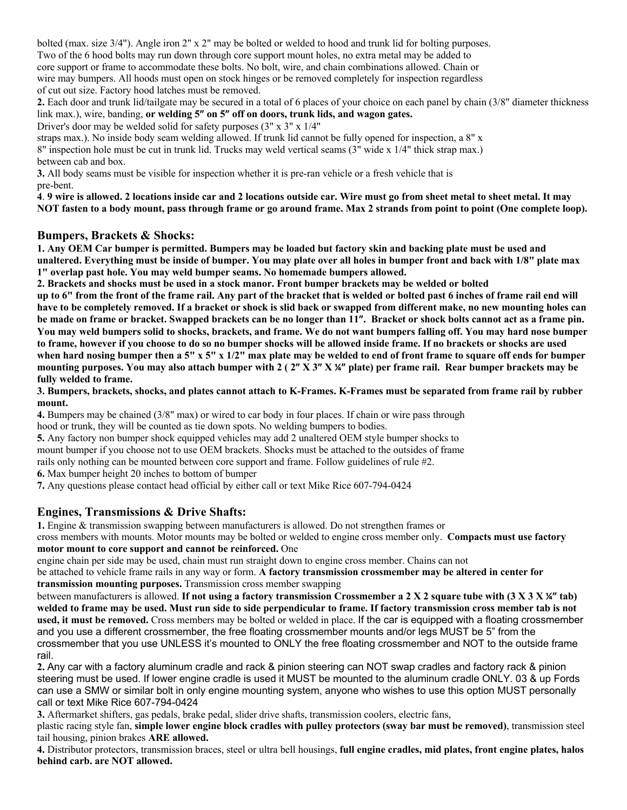bolted (max. size 3/4"). Angle iron 2" x 2" may be bolted or welded to hood and trunk lid for bolting purposes. Two of the 6 hood bolts may run down through core support mount holes, no extra metal may be added to core support or frame to accommodate these bolts. No bolt, wire, and chain combinations allowed. Chain or wire may bumpers. All hoods must open on stock hinges or be removed completely for inspection regardless of cut out size. Factory hood latches must be removed.

**2.** Each door and trunk lid/tailgate may be secured in a total of 6 places of your choice on each panel by chain (3/8" diameter thickness link max.), wire, banding, **or welding 5" on 5" off on doors, trunk lids, and wagon gates.**

Driver's door may be welded solid for safety purposes (3" x 3" x 1/4"

straps max.). No inside body seam welding allowed. If trunk lid cannot be fully opened for inspection, a 8" x 8" inspection hole must be cut in trunk lid. Trucks may weld vertical seams (3" wide x 1/4" thick strap max.) between cab and box.

**3.** All body seams must be visible for inspection whether it is pre-ran vehicle or a fresh vehicle that is pre-bent.

**4**. **9 wire is allowed. 2 locations inside car and 2 locations outside car. Wire must go from sheet metal to sheet metal. It may NOT fasten to a body mount, pass through frame or go around frame. Max 2 strands from point to point (One complete loop).**

## **Bumpers, Brackets & Shocks:**

**1. Any OEM Car bumper is permitted. Bumpers may be loaded but factory skin and backing plate must be used and unaltered. Everything must be inside of bumper. You may plate over all holes in bumper front and back with 1/8" plate max 1" overlap past hole. You may weld bumper seams. No homemade bumpers allowed.**

**2. Brackets and shocks must be used in a stock manor. Front bumper brackets may be welded or bolted**

**up to 6" from the front of the frame rail. Any part of the bracket that is welded or bolted past 6 inches of frame rail end will have to be completely removed. If a bracket or shock is slid back or swapped from different make, no new mounting holes can be made on frame or bracket. Swapped brackets can be no longer than 11". Bracket or shock bolts cannot act as a frame pin. You may weld bumpers solid to shocks, brackets, and frame. We do not want bumpers falling off. You may hard nose bumper to frame, however if you choose to do so no bumper shocks will be allowed inside frame. If no brackets or shocks are used when hard nosing bumper then a 5" x 5" x 1/2" max plate may be welded to end of front frame to square off ends for bumper mounting purposes. You may also attach bumper with 2 ( 2" X 3" X ¼" plate) per frame rail. Rear bumper brackets may be fully welded to frame.**

**3. Bumpers, brackets, shocks, and plates cannot attach to K-Frames. K-Frames must be separated from frame rail by rubber mount.**

**4.** Bumpers may be chained (3/8" max) or wired to car body in four places. If chain or wire pass through hood or trunk, they will be counted as tie down spots. No welding bumpers to bodies.

**5.** Any factory non bumper shock equipped vehicles may add 2 unaltered OEM style bumper shocks to

mount bumper if you choose not to use OEM brackets. Shocks must be attached to the outsides of frame

rails only nothing can be mounted between core support and frame. Follow guidelines of rule #2.

**6.** Max bumper height 20 inches to bottom of bumper

**7.** Any questions please contact head official by either call or text Mike Rice 607-794-0424

## **Engines, Transmissions & Drive Shafts:**

**1.** Engine & transmission swapping between manufacturers is allowed. Do not strengthen frames or

cross members with mounts. Motor mounts may be bolted or welded to engine cross member only. **Compacts must use factory motor mount to core support and cannot be reinforced.** One

engine chain per side may be used, chain must run straight down to engine cross member. Chains can not

be attached to vehicle frame rails in any way or form. **A factory transmission crossmember may be altered in center for transmission mounting purposes.** Transmission cross member swapping

between manufacturers is allowed. **If not using a factory transmission Crossmember a 2 X 2 square tube with (3 X 3 X ¼" tab) welded to frame may be used. Must run side to side perpendicular to frame. If factory transmission cross member tab is not used, it must be removed.** Cross members may be bolted or welded in place. If the car is equipped with a floating crossmember and you use a different crossmember, the free floating crossmember mounts and/or legs MUST be 5" from the crossmember that you use UNLESS it's mounted to ONLY the free floating crossmember and NOT to the outside frame rail.

**2.** Any car with a factory aluminum cradle and rack & pinion steering can NOT swap cradles and factory rack & pinion steering must be used. If lower engine cradle is used it MUST be mounted to the aluminum cradle ONLY. 03 & up Fords can use a SMW or similar bolt in only engine mounting system, anyone who wishes to use this option MUST personally call or text Mike Rice 607-794-0424

**3.** Aftermarket shifters, gas pedals, brake pedal, slider drive shafts, transmission coolers, electric fans,

plastic racing style fan, **simple lower engine block cradles with pulley protectors (sway bar must be removed)**, transmission steel tail housing, pinion brakes **ARE allowed.**

**4.** Distributor protectors, transmission braces, steel or ultra bell housings, **full engine cradles, mid plates, front engine plates, halos behind carb. are NOT allowed.**